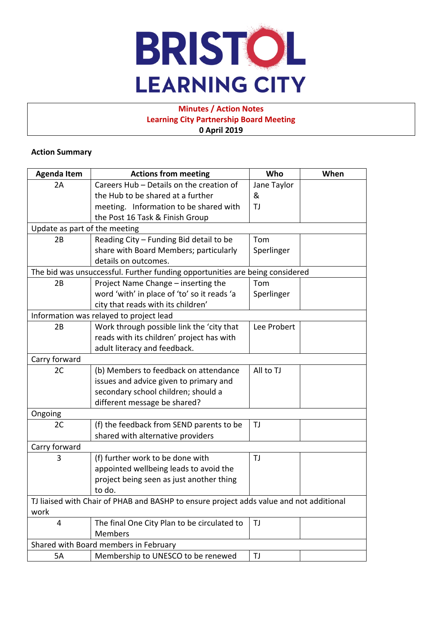

# **Minutes / Action Notes Learning City Partnership Board Meeting 0 April 2019**

### **Action Summary**

| <b>Agenda Item</b>                                                                      | <b>Actions from meeting</b>                 | Who         | When |  |  |
|-----------------------------------------------------------------------------------------|---------------------------------------------|-------------|------|--|--|
| 2A                                                                                      | Careers Hub - Details on the creation of    | Jane Taylor |      |  |  |
|                                                                                         | the Hub to be shared at a further           | &           |      |  |  |
|                                                                                         | meeting. Information to be shared with      | TJ          |      |  |  |
|                                                                                         | the Post 16 Task & Finish Group             |             |      |  |  |
| Update as part of the meeting                                                           |                                             |             |      |  |  |
| 2B                                                                                      | Reading City - Funding Bid detail to be     | Tom         |      |  |  |
|                                                                                         | share with Board Members; particularly      | Sperlinger  |      |  |  |
|                                                                                         | details on outcomes.                        |             |      |  |  |
| The bid was unsuccessful. Further funding opportunities are being considered            |                                             |             |      |  |  |
| 2B                                                                                      | Project Name Change - inserting the         | Tom         |      |  |  |
|                                                                                         | word 'with' in place of 'to' so it reads 'a | Sperlinger  |      |  |  |
|                                                                                         | city that reads with its children'          |             |      |  |  |
| Information was relayed to project lead                                                 |                                             |             |      |  |  |
| 2B                                                                                      | Work through possible link the 'city that   | Lee Probert |      |  |  |
|                                                                                         | reads with its children' project has with   |             |      |  |  |
|                                                                                         | adult literacy and feedback.                |             |      |  |  |
| Carry forward                                                                           |                                             |             |      |  |  |
| 2C                                                                                      | (b) Members to feedback on attendance       | All to TJ   |      |  |  |
|                                                                                         | issues and advice given to primary and      |             |      |  |  |
|                                                                                         | secondary school children; should a         |             |      |  |  |
|                                                                                         | different message be shared?                |             |      |  |  |
| Ongoing                                                                                 |                                             |             |      |  |  |
| 2C                                                                                      | (f) the feedback from SEND parents to be    | TJ          |      |  |  |
|                                                                                         | shared with alternative providers           |             |      |  |  |
| Carry forward                                                                           |                                             |             |      |  |  |
| 3                                                                                       | (f) further work to be done with            | TJ          |      |  |  |
|                                                                                         | appointed wellbeing leads to avoid the      |             |      |  |  |
|                                                                                         | project being seen as just another thing    |             |      |  |  |
|                                                                                         | to do.                                      |             |      |  |  |
| TJ liaised with Chair of PHAB and BASHP to ensure project adds value and not additional |                                             |             |      |  |  |
| work                                                                                    |                                             |             |      |  |  |
| 4                                                                                       | The final One City Plan to be circulated to | TJ          |      |  |  |
|                                                                                         | <b>Members</b>                              |             |      |  |  |
| Shared with Board members in February                                                   |                                             |             |      |  |  |
| 5A                                                                                      | Membership to UNESCO to be renewed          | TJ          |      |  |  |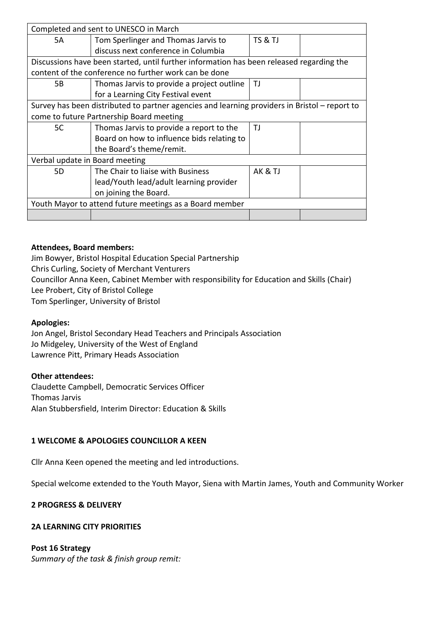| Completed and sent to UNESCO in March                                                         |                                            |         |  |  |  |
|-----------------------------------------------------------------------------------------------|--------------------------------------------|---------|--|--|--|
| 5A                                                                                            | Tom Sperlinger and Thomas Jarvis to        | TS & TJ |  |  |  |
|                                                                                               | discuss next conference in Columbia        |         |  |  |  |
| Discussions have been started, until further information has been released regarding the      |                                            |         |  |  |  |
| content of the conference no further work can be done                                         |                                            |         |  |  |  |
| 5В                                                                                            | Thomas Jarvis to provide a project outline | TJ      |  |  |  |
|                                                                                               | for a Learning City Festival event         |         |  |  |  |
| Survey has been distributed to partner agencies and learning providers in Bristol - report to |                                            |         |  |  |  |
| come to future Partnership Board meeting                                                      |                                            |         |  |  |  |
| 5C                                                                                            | Thomas Jarvis to provide a report to the   | ΤJ      |  |  |  |
|                                                                                               | Board on how to influence bids relating to |         |  |  |  |
|                                                                                               | the Board's theme/remit.                   |         |  |  |  |
| Verbal update in Board meeting                                                                |                                            |         |  |  |  |
| 5D                                                                                            | The Chair to liaise with Business          | AK & TJ |  |  |  |
|                                                                                               | lead/Youth lead/adult learning provider    |         |  |  |  |
|                                                                                               | on joining the Board.                      |         |  |  |  |
| Youth Mayor to attend future meetings as a Board member                                       |                                            |         |  |  |  |
|                                                                                               |                                            |         |  |  |  |

## **Attendees, Board members:**

Jim Bowyer, Bristol Hospital Education Special Partnership Chris Curling, Society of Merchant Venturers Councillor Anna Keen, Cabinet Member with responsibility for Education and Skills (Chair) Lee Probert, City of Bristol College Tom Sperlinger, University of Bristol

### **Apologies:**

Jon Angel, Bristol Secondary Head Teachers and Principals Association Jo Midgeley, University of the West of England Lawrence Pitt, Primary Heads Association

### **Other attendees:**

Claudette Campbell, Democratic Services Officer Thomas Jarvis Alan Stubbersfield, Interim Director: Education & Skills

# **1 WELCOME & APOLOGIES COUNCILLOR A KEEN**

Cllr Anna Keen opened the meeting and led introductions.

Special welcome extended to the Youth Mayor, Siena with Martin James, Youth and Community Worker

# **2 PROGRESS & DELIVERY**

### **2A LEARNING CITY PRIORITIES**

### **Post 16 Strategy**

*Summary of the task & finish group remit:*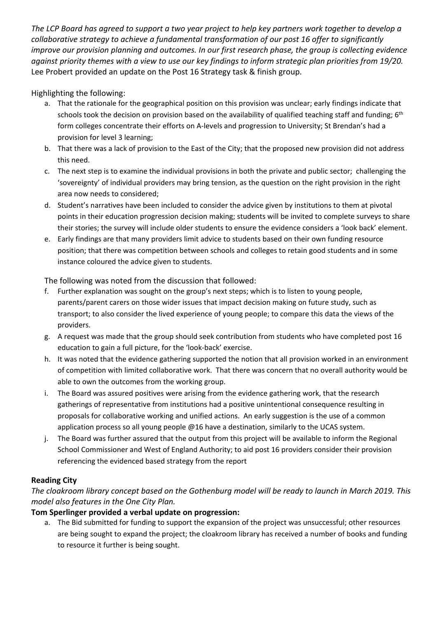The LCP Board has aareed to support a two vear project to help key partners work together to develop a *collaborative strategy to achieve a fundamental transformation of our post 16 offer to significantly improve our provision planning and outcomes. In our first research phase, the group is collecting evidence* against priority themes with a view to use our key findings to inform strategic plan priorities from 19/20. Lee Probert provided an update on the Post 16 Strategy task & finish group.

Highlighting the following:

- a. That the rationale for the geographical position on this provision was unclear; early findings indicate that schools took the decision on provision based on the availability of qualified teaching staff and funding; 6<sup>th</sup> form colleges concentrate their efforts on A-levels and progression to University; St Brendan's had a provision for level 3 learning;
- b. That there was a lack of provision to the East of the City; that the proposed new provision did not address this need.
- c. The next step is to examine the individual provisions in both the private and public sector; challenging the 'sovereignty' of individual providers may bring tension, as the question on the right provision in the right area now needs to considered;
- d. Student's narratives have been included to consider the advice given by institutions to them at pivotal points in their education progression decision making; students will be invited to complete surveys to share their stories; the survey will include older students to ensure the evidence considers a 'look back' element.
- e. Early findings are that many providers limit advice to students based on their own funding resource position; that there was competition between schools and colleges to retain good students and in some instance coloured the advice given to students.

The following was noted from the discussion that followed:

- f. Further explanation was sought on the group's next steps; which is to listen to young people, parents/parent carers on those wider issues that impact decision making on future study, such as transport; to also consider the lived experience of young people; to compare this data the views of the providers.
- g. A request was made that the group should seek contribution from students who have completed post 16 education to gain a full picture, for the 'look-back' exercise.
- h. It was noted that the evidence gathering supported the notion that all provision worked in an environment of competition with limited collaborative work. That there was concern that no overall authority would be able to own the outcomes from the working group.
- i. The Board was assured positives were arising from the evidence gathering work, that the research gatherings of representative from institutions had a positive unintentional consequence resulting in proposals for collaborative working and unified actions. An early suggestion is the use of a common application process so all young people @16 have a destination, similarly to the UCAS system.
- j. The Board was further assured that the output from this project will be available to inform the Regional School Commissioner and West of England Authority; to aid post 16 providers consider their provision referencing the evidenced based strategy from the report

# **Reading City**

The cloakroom library concept based on the Gothenburg model will be ready to launch in March 2019. This *model also features in the One City Plan.*

# **Tom Sperlinger provided a verbal update on progression:**

a. The Bid submitted for funding to support the expansion of the project was unsuccessful; other resources are being sought to expand the project; the cloakroom library has received a number of books and funding to resource it further is being sought.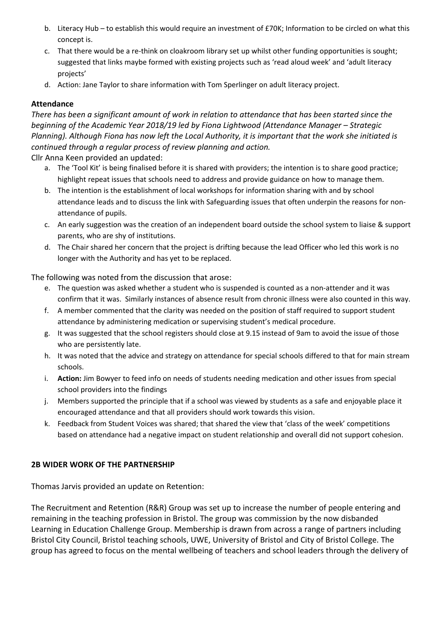- b. Literacy Hub to establish this would require an investment of £70K; Information to be circled on what this concept is.
- c. That there would be a re-think on cloakroom library set up whilst other funding opportunities is sought; suggested that links maybe formed with existing projects such as 'read aloud week' and 'adult literacy projects'
- d. Action: Jane Taylor to share information with Tom Sperlinger on adult literacy project.

## **Attendance**

There has been a significant amount of work in relation to attendance that has been started since the *beginning of the Academic Year 2018/19 led by Fiona Lightwood (Attendance Manager – Strategic* Planning). Although Fiona has now left the Local Authority, it is important that the work she initiated is *continued through a regular process of review planning and action.*

Cllr Anna Keen provided an updated:

- a. The 'Tool Kit' is being finalised before it is shared with providers; the intention is to share good practice; highlight repeat issues that schools need to address and provide guidance on how to manage them.
- b. The intention is the establishment of local workshops for information sharing with and by school attendance leads and to discuss the link with Safeguarding issues that often underpin the reasons for nonattendance of pupils.
- c. An early suggestion was the creation of an independent board outside the school system to liaise & support parents, who are shy of institutions.
- d. The Chair shared her concern that the project is drifting because the lead Officer who led this work is no longer with the Authority and has yet to be replaced.

The following was noted from the discussion that arose:

- e. The question was asked whether a student who is suspended is counted as a non-attender and it was confirm that it was. Similarly instances of absence result from chronic illness were also counted in this way.
- f. A member commented that the clarity was needed on the position of staff required to support student attendance by administering medication or supervising student's medical procedure.
- g. It was suggested that the school registers should close at 9.15 instead of 9am to avoid the issue of those who are persistently late.
- h. It was noted that the advice and strategy on attendance for special schools differed to that for main stream schools.
- i. **Action:** Jim Bowyer to feed info on needs of students needing medication and other issues from special school providers into the findings
- j. Members supported the principle that if a school was viewed by students as a safe and enjoyable place it encouraged attendance and that all providers should work towards this vision.
- k. Feedback from Student Voices was shared; that shared the view that 'class of the week' competitions based on attendance had a negative impact on student relationship and overall did not support cohesion.

# **2B WIDER WORK OF THE PARTNERSHIP**

Thomas Jarvis provided an update on Retention:

The Recruitment and Retention (R&R) Group was set up to increase the number of people entering and remaining in the teaching profession in Bristol. The group was commission by the now disbanded Learning in Education Challenge Group. Membership is drawn from across a range of partners including Bristol City Council, Bristol teaching schools, UWE, University of Bristol and City of Bristol College. The group has agreed to focus on the mental wellbeing of teachers and school leaders through the delivery of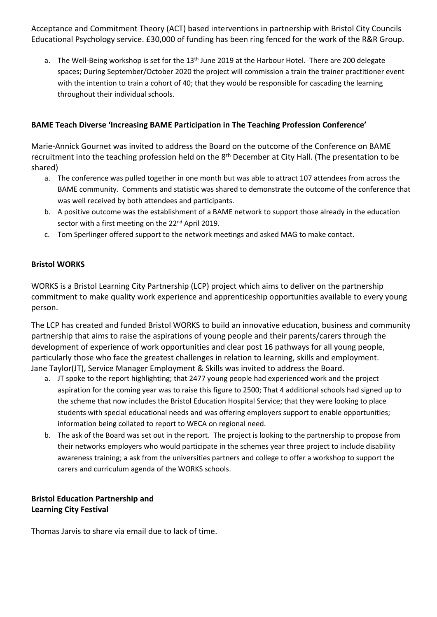Acceptance and Commitment Theory (ACT) based interventions in partnership with Bristol City Councils Educational Psychology service. £30,000 of funding has been ring fenced for the work of the R&R Group.

a. The Well-Being workshop is set for the 13<sup>th</sup> June 2019 at the Harbour Hotel. There are 200 delegate spaces; During September/October 2020 the project will commission a train the trainer practitioner event with the intention to train a cohort of 40; that they would be responsible for cascading the learning throughout their individual schools.

# **BAME Teach Diverse 'Increasing BAME Participation in The Teaching Profession Conference'**

Marie-Annick Gournet was invited to address the Board on the outcome of the Conference on BAME recruitment into the teaching profession held on the 8<sup>th</sup> December at City Hall. (The presentation to be shared)

- a. The conference was pulled together in one month but was able to attract 107 attendees from across the BAME community. Comments and statistic was shared to demonstrate the outcome of the conference that was well received by both attendees and participants.
- b. A positive outcome was the establishment of a BAME network to support those already in the education sector with a first meeting on the 22<sup>nd</sup> April 2019.
- c. Tom Sperlinger offered support to the network meetings and asked MAG to make contact.

## **Bristol WORKS**

WORKS is a Bristol Learning City Partnership (LCP) project which aims to deliver on the partnership commitment to make quality work experience and apprenticeship opportunities available to every young person.

The LCP has created and funded Bristol WORKS to build an innovative education, business and community partnership that aims to raise the aspirations of young people and their parents/carers through the development of experience of work opportunities and clear post 16 pathways for all young people, particularly those who face the greatest challenges in relation to learning, skills and employment. Jane Taylor(JT), Service Manager Employment & Skills was invited to address the Board.

- a. JT spoke to the report highlighting; that 2477 young people had experienced work and the project aspiration for the coming year was to raise this figure to 2500; That 4 additional schools had signed up to the scheme that now includes the Bristol Education Hospital Service; that they were looking to place students with special educational needs and was offering employers support to enable opportunities; information being collated to report to WECA on regional need.
- b. The ask of the Board was set out in the report. The project is looking to the partnership to propose from their networks employers who would participate in the schemes year three project to include disability awareness training; a ask from the universities partners and college to offer a workshop to support the carers and curriculum agenda of the WORKS schools.

# **Bristol Education Partnership and Learning City Festival**

Thomas Jarvis to share via email due to lack of time.